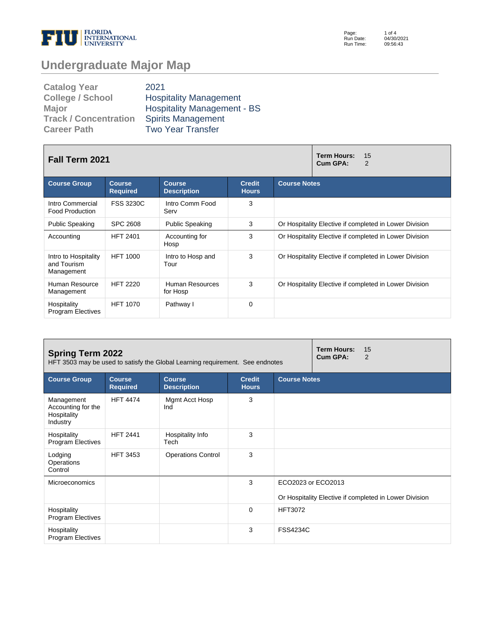

Page: Run Date: Run Time: 1 of 4 04/30/2021 09:56:43

## **Undergraduate Major Map**

| <b>Catalog Year</b>          | 2021                               |
|------------------------------|------------------------------------|
| <b>College / School</b>      | <b>Hospitality Management</b>      |
| <b>Major</b>                 | <b>Hospitality Management - BS</b> |
| <b>Track / Concentration</b> | <b>Spirits Management</b>          |
| <b>Career Path</b>           | <b>Two Year Transfer</b>           |

| <b>Fall Term 2021</b>                             |                                  |                                     | <b>Term Hours:</b><br>15<br>Cum GPA:<br>2 |                                                        |  |  |
|---------------------------------------------------|----------------------------------|-------------------------------------|-------------------------------------------|--------------------------------------------------------|--|--|
| <b>Course Group</b>                               | <b>Course</b><br><b>Required</b> | <b>Course</b><br><b>Description</b> | <b>Credit</b><br><b>Hours</b>             | <b>Course Notes</b>                                    |  |  |
| Intro Commercial<br><b>Food Production</b>        | <b>FSS 3230C</b>                 | Intro Comm Food<br>Serv             | 3                                         |                                                        |  |  |
| <b>Public Speaking</b>                            | <b>SPC 2608</b>                  | <b>Public Speaking</b>              | 3                                         | Or Hospitality Elective if completed in Lower Division |  |  |
| Accounting                                        | <b>HFT 2401</b>                  | Accounting for<br>Hosp              | 3                                         | Or Hospitality Elective if completed in Lower Division |  |  |
| Intro to Hospitality<br>and Tourism<br>Management | <b>HFT 1000</b>                  | Intro to Hosp and<br>Tour           | 3                                         | Or Hospitality Elective if completed in Lower Division |  |  |
| Human Resource<br>Management                      | <b>HFT 2220</b>                  | Human Resources<br>for Hosp         | 3                                         | Or Hospitality Elective if completed in Lower Division |  |  |
| Hospitality<br><b>Program Electives</b>           | <b>HFT 1070</b>                  | Pathway I                           | 0                                         |                                                        |  |  |

| <b>Spring Term 2022</b><br>HFT 3503 may be used to satisfy the Global Learning requirement. See endnotes |                                  |                                     |                               |                     | <b>Term Hours:</b><br>Cum GPA: | 15<br>2                                                |
|----------------------------------------------------------------------------------------------------------|----------------------------------|-------------------------------------|-------------------------------|---------------------|--------------------------------|--------------------------------------------------------|
| <b>Course Group</b>                                                                                      | <b>Course</b><br><b>Required</b> | <b>Course</b><br><b>Description</b> | <b>Credit</b><br><b>Hours</b> | <b>Course Notes</b> |                                |                                                        |
| Management<br>Accounting for the<br>Hospitality<br>Industry                                              | <b>HFT 4474</b>                  | Mgmt Acct Hosp<br>Ind               | 3                             |                     |                                |                                                        |
| Hospitality<br><b>Program Electives</b>                                                                  | <b>HFT 2441</b>                  | Hospitality Info<br>Tech            | 3                             |                     |                                |                                                        |
| Lodging<br>Operations<br>Control                                                                         | <b>HFT 3453</b>                  | <b>Operations Control</b>           | 3                             |                     |                                |                                                        |
| Microeconomics                                                                                           |                                  |                                     | 3                             | ECO2023 or ECO2013  |                                |                                                        |
|                                                                                                          |                                  |                                     |                               |                     |                                | Or Hospitality Elective if completed in Lower Division |
| Hospitality<br><b>Program Electives</b>                                                                  |                                  |                                     | $\Omega$                      | <b>HFT3072</b>      |                                |                                                        |
| Hospitality<br><b>Program Electives</b>                                                                  |                                  |                                     | 3                             | <b>FSS4234C</b>     |                                |                                                        |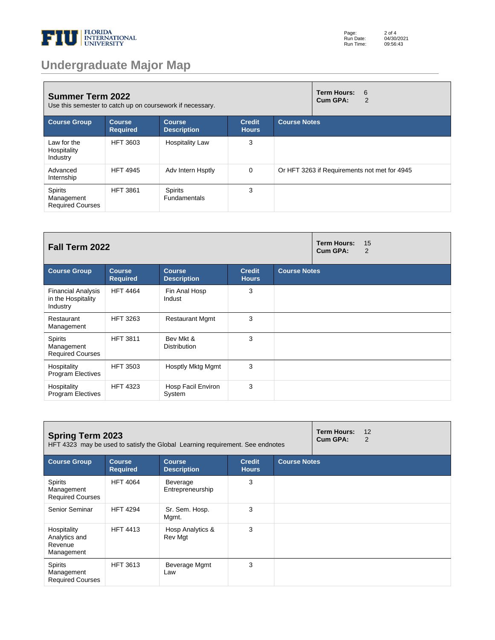

## **Undergraduate Major Map**

| <b>Summer Term 2022</b><br>Use this semester to catch up on coursework if necessary. |                                  |                                       |                               | <b>Term Hours:</b><br>6<br>Cum GPA:<br>2 |                                              |
|--------------------------------------------------------------------------------------|----------------------------------|---------------------------------------|-------------------------------|------------------------------------------|----------------------------------------------|
| <b>Course Group</b>                                                                  | <b>Course</b><br><b>Required</b> | <b>Course</b><br><b>Description</b>   | <b>Credit</b><br><b>Hours</b> | <b>Course Notes</b>                      |                                              |
| Law for the<br>Hospitality<br>Industry                                               | <b>HFT 3603</b>                  | <b>Hospitality Law</b>                | 3                             |                                          |                                              |
| Advanced<br>Internship                                                               | <b>HFT 4945</b>                  | Adv Intern Hsptly                     | 0                             |                                          | Or HFT 3263 if Requirements not met for 4945 |
| <b>Spirits</b><br>Management<br><b>Required Courses</b>                              | <b>HFT 3861</b>                  | <b>Spirits</b><br><b>Fundamentals</b> | 3                             |                                          |                                              |

| Fall Term 2022                                              |                                  |                                     |                               |                     | <b>Term Hours:</b><br>Cum GPA: | 15<br>$\overline{2}$ |
|-------------------------------------------------------------|----------------------------------|-------------------------------------|-------------------------------|---------------------|--------------------------------|----------------------|
| <b>Course Group</b>                                         | <b>Course</b><br><b>Required</b> | <b>Course</b><br><b>Description</b> | <b>Credit</b><br><b>Hours</b> | <b>Course Notes</b> |                                |                      |
| <b>Financial Analysis</b><br>in the Hospitality<br>Industry | <b>HFT 4464</b>                  | Fin Anal Hosp<br>Indust             | 3                             |                     |                                |                      |
| Restaurant<br>Management                                    | <b>HFT 3263</b>                  | <b>Restaurant Mgmt</b>              | 3                             |                     |                                |                      |
| Spirits<br>Management<br><b>Required Courses</b>            | <b>HFT 3811</b>                  | Bev Mkt &<br><b>Distribution</b>    | 3                             |                     |                                |                      |
| Hospitality<br><b>Program Electives</b>                     | <b>HFT 3503</b>                  | Hosptly Mktg Mgmt                   | 3                             |                     |                                |                      |
| Hospitality<br><b>Program Electives</b>                     | <b>HFT 4323</b>                  | Hosp Facil Environ<br>System        | 3                             |                     |                                |                      |

| <b>Spring Term 2023</b><br>HFT 4323 may be used to satisfy the Global Learning requirement. See endnotes |                                  |                                     |                               | <b>Term Hours:</b><br>Cum GPA: | 12<br>2 |  |
|----------------------------------------------------------------------------------------------------------|----------------------------------|-------------------------------------|-------------------------------|--------------------------------|---------|--|
| <b>Course Group</b>                                                                                      | <b>Course</b><br><b>Required</b> | <b>Course</b><br><b>Description</b> | <b>Credit</b><br><b>Hours</b> | <b>Course Notes</b>            |         |  |
| Spirits<br>Management<br><b>Required Courses</b>                                                         | <b>HFT 4064</b>                  | Beverage<br>Entrepreneurship        | 3                             |                                |         |  |
| Senior Seminar                                                                                           | <b>HFT 4294</b>                  | Sr. Sem. Hosp.<br>Mgmt.             | 3                             |                                |         |  |
| Hospitality<br>Analytics and<br>Revenue<br>Management                                                    | <b>HFT 4413</b>                  | Hosp Analytics &<br>Rev Mgt         | 3                             |                                |         |  |
| Spirits<br>Management<br><b>Required Courses</b>                                                         | <b>HFT 3613</b>                  | Beverage Mgmt<br>Law                | 3                             |                                |         |  |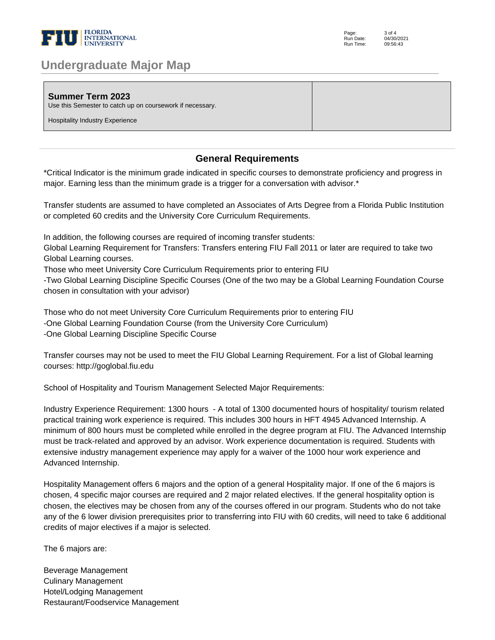

| <b>Undergraduate Major Map</b> |  |  |
|--------------------------------|--|--|
|--------------------------------|--|--|

| <b>Summer Term 2023</b><br>Use this Semester to catch up on coursework if necessary.<br><b>Hospitality Industry Experience</b> |  |
|--------------------------------------------------------------------------------------------------------------------------------|--|
|--------------------------------------------------------------------------------------------------------------------------------|--|

## **General Requirements**

\*Critical Indicator is the minimum grade indicated in specific courses to demonstrate proficiency and progress in major. Earning less than the minimum grade is a trigger for a conversation with advisor.\* 

Transfer students are assumed to have completed an Associates of Arts Degree from a Florida Public Institution or completed 60 credits and the University Core Curriculum Requirements. 

In addition, the following courses are required of incoming transfer students: 

Global Learning Requirement for Transfers: Transfers entering FIU Fall 2011 or later are required to take two Global Learning courses. 

Those who meet University Core Curriculum Requirements prior to entering FIU 

-Two Global Learning Discipline Specific Courses (One of the two may be a Global Learning Foundation Course chosen in consultation with your advisor) 

Those who do not meet University Core Curriculum Requirements prior to entering FIU -One Global Learning Foundation Course (from the University Core Curriculum) -One Global Learning Discipline Specific Course 

Transfer courses may not be used to meet the FIU Global Learning Requirement. For a list of Global learning courses: http://goglobal.fiu.edu 

School of Hospitality and Tourism Management Selected Major Requirements: 

Industry Experience Requirement: 1300 hours - A total of 1300 documented hours of hospitality/ tourism related practical training work experience is required. This includes 300 hours in HFT 4945 Advanced Internship. A minimum of 800 hours must be completed while enrolled in the degree program at FIU. The Advanced Internship must be track-related and approved by an advisor. Work experience documentation is required. Students with extensive industry management experience may apply for a waiver of the 1000 hour work experience and Advanced Internship. 

Hospitality Management offers 6 majors and the option of a general Hospitality major. If one of the 6 majors is chosen, 4 specific major courses are required and 2 major related electives. If the general hospitality option is chosen, the electives may be chosen from any of the courses offered in our program. Students who do not take any of the 6 lower division prerequisites prior to transferring into FIU with 60 credits, will need to take 6 additional credits of major electives if a major is selected.

The 6 majors are:

Beverage Management Culinary Management Hotel/Lodging Management Restaurant/Foodservice Management